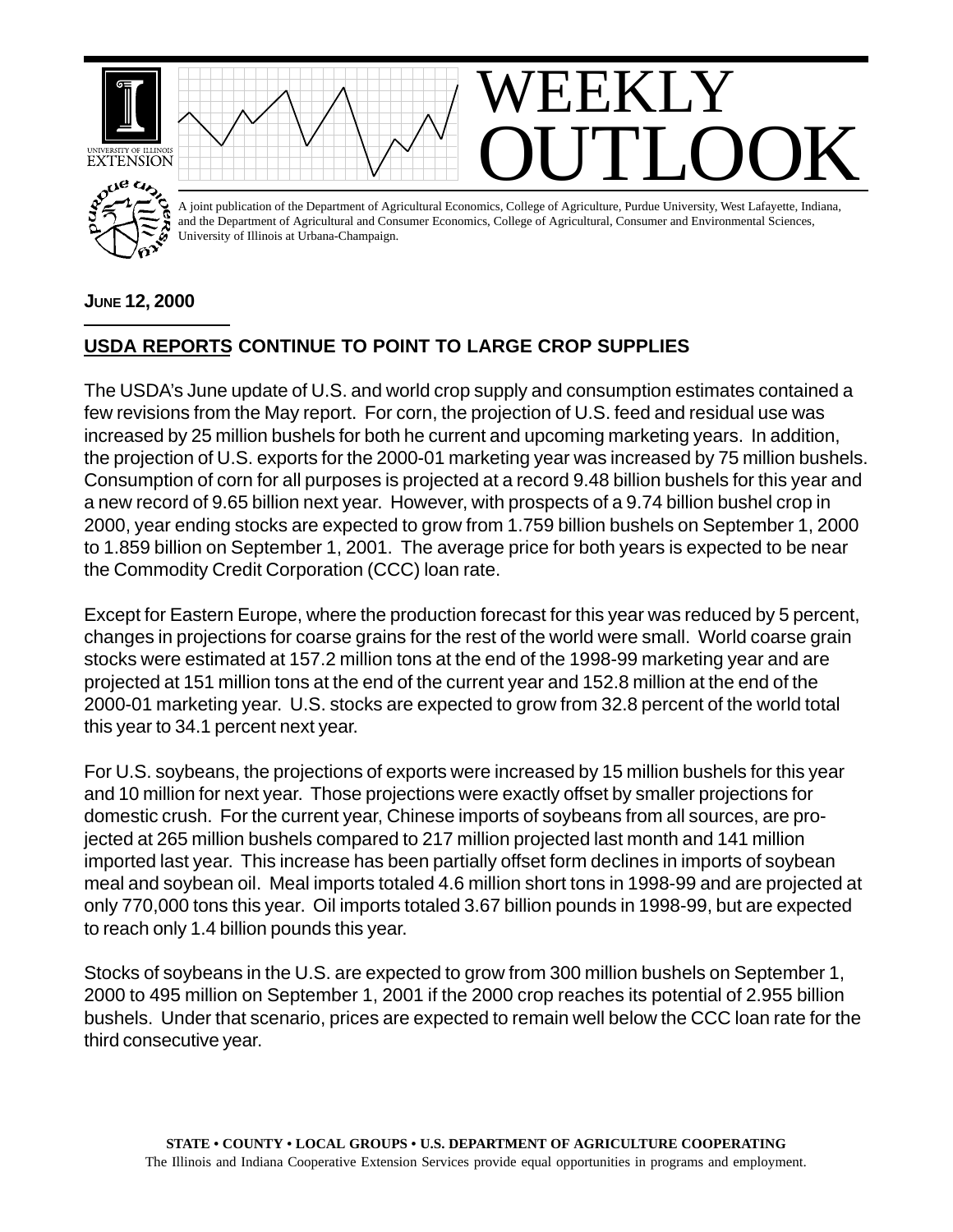

## **JUNE 12, 2000**

## **USDA REPORTS CONTINUE TO POINT TO LARGE CROP SUPPLIES**

The USDA's June update of U.S. and world crop supply and consumption estimates contained a few revisions from the May report. For corn, the projection of U.S. feed and residual use was increased by 25 million bushels for both he current and upcoming marketing years. In addition, the projection of U.S. exports for the 2000-01 marketing year was increased by 75 million bushels. Consumption of corn for all purposes is projected at a record 9.48 billion bushels for this year and a new record of 9.65 billion next year. However, with prospects of a 9.74 billion bushel crop in 2000, year ending stocks are expected to grow from 1.759 billion bushels on September 1, 2000 to 1.859 billion on September 1, 2001. The average price for both years is expected to be near the Commodity Credit Corporation (CCC) loan rate.

Except for Eastern Europe, where the production forecast for this year was reduced by 5 percent, changes in projections for coarse grains for the rest of the world were small. World coarse grain stocks were estimated at 157.2 million tons at the end of the 1998-99 marketing year and are projected at 151 million tons at the end of the current year and 152.8 million at the end of the 2000-01 marketing year. U.S. stocks are expected to grow from 32.8 percent of the world total this year to 34.1 percent next year.

For U.S. soybeans, the projections of exports were increased by 15 million bushels for this year and 10 million for next year. Those projections were exactly offset by smaller projections for domestic crush. For the current year, Chinese imports of soybeans from all sources, are projected at 265 million bushels compared to 217 million projected last month and 141 million imported last year. This increase has been partially offset form declines in imports of soybean meal and soybean oil. Meal imports totaled 4.6 million short tons in 1998-99 and are projected at only 770,000 tons this year. Oil imports totaled 3.67 billion pounds in 1998-99, but are expected to reach only 1.4 billion pounds this year.

Stocks of soybeans in the U.S. are expected to grow from 300 million bushels on September 1, 2000 to 495 million on September 1, 2001 if the 2000 crop reaches its potential of 2.955 billion bushels. Under that scenario, prices are expected to remain well below the CCC loan rate for the third consecutive year.